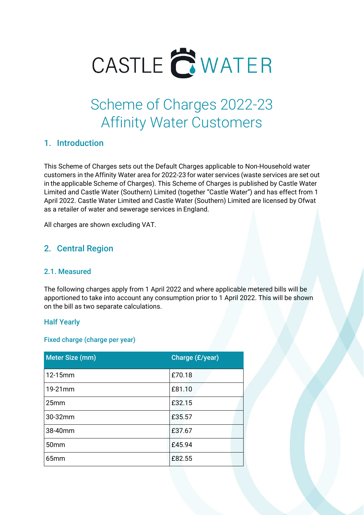

# Scheme of Charges 2022-23 Affinity Water Customers

### 1. Introduction

This Scheme of Charges sets out the Default Charges applicable to Non-Household water customers in the Affinity Water area for 2022-23 for water services (waste services are set out in the applicable Scheme of Charges). This Scheme of Charges is published by Castle Water Limited and Castle Water (Southern) Limited (together "Castle Water") and has effect from 1 April 2022. Castle Water Limited and Castle Water (Southern) Limited are licensed by Ofwat as a retailer of water and sewerage services in England.

All charges are shown excluding VAT.

### 2. Central Region

### 2.1. Measured

The following charges apply from 1 April 2022 and where applicable metered bills will be apportioned to take into account any consumption prior to 1 April 2022. This will be shown on the bill as two separate calculations.

### Half Yearly

### Fixed charge (charge per year)

| Meter Size (mm)  | Charge (£/year) |
|------------------|-----------------|
| 12-15mm          | £70.18          |
| 19-21mm          | £81.10          |
| 25 <sub>mm</sub> | £32.15          |
| 30-32mm          | £35.57          |
| 38-40mm          | £37.67          |
| 50 <sub>mm</sub> | £45.94          |
| 65 <sub>mm</sub> | £82.55          |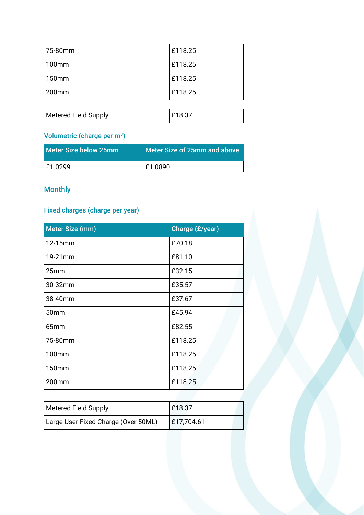| 75-80mm           | £118.25 |
|-------------------|---------|
| 100mm             | £118.25 |
| 150mm             | £118.25 |
| 200 <sub>mm</sub> | E118.25 |

| <b>Metered Field Supply</b> |  |
|-----------------------------|--|
|                             |  |

# Volumetric (charge per m<sup>3</sup>)

| l Meter Size below 25mm. | Meter Size of 25mm and above |
|--------------------------|------------------------------|
| E1.0299                  | E1.0890                      |

# Monthly

# Fixed charges (charge per year)

| Meter Size (mm)  | Charge (£/year) |
|------------------|-----------------|
| 12-15mm          | £70.18          |
| 19-21mm          | £81.10          |
| 25 <sub>mm</sub> | £32.15          |
| 30-32mm          | £35.57          |
| 38-40mm          | £37.67          |
| 50mm             | £45.94          |
| 65mm             | £82.55          |
| 75-80mm          | £118.25         |
| 100mm            | £118.25         |
| 150mm            | £118.25         |
| 200mm            | £118.25         |

| Metered Field Supply                | £18.37     |
|-------------------------------------|------------|
| Large User Fixed Charge (Over 50ML) | £17,704.61 |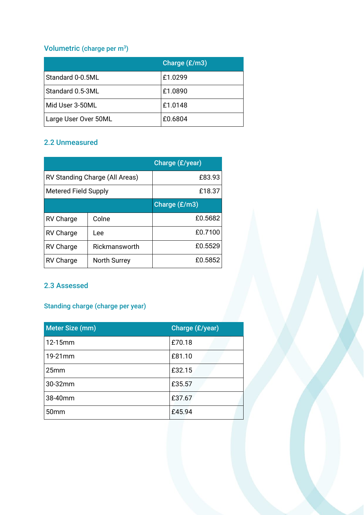# Volumetric (charge per m<sup>3</sup>)

|                      | Charge $(E/m3)$ |
|----------------------|-----------------|
| Standard 0-0.5ML     | £1.0299         |
| Standard 0.5-3ML     | £1.0890         |
| Mid User 3-50ML      | £1.0148         |
| Large User Over 50ML | £0.6804         |

### 2.2 Unmeasured

|                             |                                | Charge (£/year) |
|-----------------------------|--------------------------------|-----------------|
|                             | RV Standing Charge (All Areas) | £83.93          |
| <b>Metered Field Supply</b> |                                | £18.37          |
|                             |                                | Charge $(E/m3)$ |
| <b>RV Charge</b>            | Colne                          | £0.5682         |
| <b>RV Charge</b>            | Lee                            | £0.7100         |
| <b>RV Charge</b>            | Rickmansworth                  | £0.5529         |
| <b>RV Charge</b>            | North Surrey                   | £0.5852         |

### 2.3 Assessed

# Standing charge (charge per year)

| Meter Size (mm)  | Charge (£/year) |
|------------------|-----------------|
| 12-15mm          | £70.18          |
| 19-21mm          | £81.10          |
| 25mm             | £32.15          |
| 30-32mm          | £35.57          |
| 38-40mm          | £37.67          |
| 50 <sub>mm</sub> | £45.94          |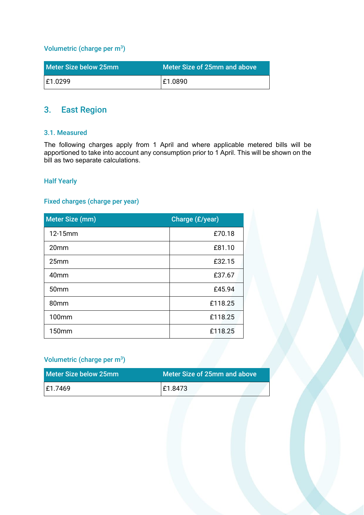#### Volumetric (charge per  $m^3$ )

| Meter Size below 25mm | Meter Size of 25mm and above |
|-----------------------|------------------------------|
| E1.0299               | E1.0890                      |

# 3. East Region

#### 3.1. Measured

The following charges apply from 1 April and where applicable metered bills will be apportioned to take into account any consumption prior to 1 April. This will be shown on the bill as two separate calculations.

#### Half Yearly

#### Fixed charges (charge per year)

| Meter Size (mm)  | Charge (£/year) |
|------------------|-----------------|
| 12-15mm          | £70.18          |
| 20 <sub>mm</sub> | £81.10          |
| 25mm             | £32.15          |
| 40 <sub>mm</sub> | £37.67          |
| 50 <sub>mm</sub> | £45.94          |
| 80mm             | £118.25         |
| 100mm            | £118.25         |
| 150mm            | £118.25         |

### Volumetric (charge per m<sup>3</sup>)

| l Meter Size below 25mm | Meter Size of 25mm and above |
|-------------------------|------------------------------|
| E1.7469                 | E1.8473                      |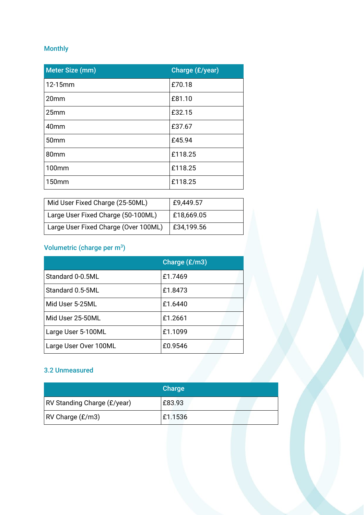# Monthly

| Meter Size (mm)  | Charge (£/year) |
|------------------|-----------------|
| 12-15mm          | £70.18          |
| 20mm             | £81.10          |
| 25mm             | £32.15          |
| 40mm             | £37.67          |
| 50 <sub>mm</sub> | £45.94          |
| 80mm             | £118.25         |
| 100mm            | £118.25         |
| 150mm            | £118.25         |

| Mid User Fixed Charge (25-50ML)      | £9,449.57      |
|--------------------------------------|----------------|
| Large User Fixed Charge (50-100ML)   | $ $ £18,669.05 |
| Large User Fixed Charge (Over 100ML) | £34,199.56     |

### Volumetric (charge per  $m^3$ )

|                       | Charge (£/m3) |
|-----------------------|---------------|
| Standard 0-0.5ML      | £1.7469       |
| Standard 0.5-5ML      | £1.8473       |
| Mid User 5-25ML       | £1.6440       |
| Mid User 25-50ML      | £1.2661       |
| Large User 5-100ML    | £1.1099       |
| Large User Over 100ML | £0.9546       |

### 3.2 Unmeasured

|                                    | Charge  |
|------------------------------------|---------|
| <b>RV Standing Charge (£/year)</b> | £83.93  |
| $ RV$ Charge $(E/m3)$              | £1.1536 |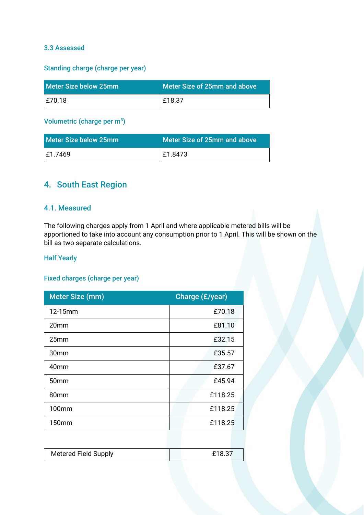### 3.3 Assessed

#### Standing charge (charge per year)

| l Meter Size below 25mm | Meter Size of 25mm and above |
|-------------------------|------------------------------|
| E70.18                  | E18.37                       |

### Volumetric (charge per m3)

| l Meter Size below 25mm | Meter Size of 25mm and above |
|-------------------------|------------------------------|
| E1.7469                 | £1.8473                      |

# 4. South East Region

### 4.1. Measured

The following charges apply from 1 April and where applicable metered bills will be apportioned to take into account any consumption prior to 1 April. This will be shown on the bill as two separate calculations.

#### Half Yearly

### Fixed charges (charge per year)

| Meter Size (mm)  | Charge (£/year) |  |
|------------------|-----------------|--|
| 12-15mm          | £70.18          |  |
| 20 <sub>mm</sub> | £81.10          |  |
| 25mm             | £32.15          |  |
| 30 <sub>mm</sub> | £35.57          |  |
| 40 <sub>mm</sub> | £37.67          |  |
| 50 <sub>mm</sub> | £45.94          |  |
| 80 <sub>mm</sub> | £118.25         |  |
| <b>100mm</b>     | £118.25         |  |
| 150mm            | £118.25         |  |

| <b>Metered Field Supply</b> |  |
|-----------------------------|--|
|                             |  |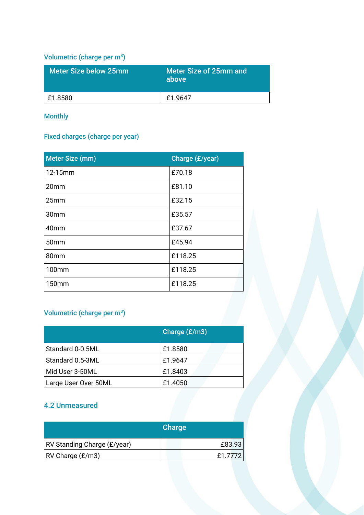# Volumetric (charge per m3)

| Meter Size below 25mm | <b>Meter Size of 25mm and</b><br>above |
|-----------------------|----------------------------------------|
| L£1.8580              | £1.9647                                |

Monthly

### Fixed charges (charge per year)

| <b>Meter Size (mm)</b> | Charge (£/year) |
|------------------------|-----------------|
| 12-15mm                | £70.18          |
| 20mm                   | £81.10          |
| 25mm                   | £32.15          |
| 30 <sub>mm</sub>       | £35.57          |
| 40mm                   | £37.67          |
| 50 <sub>mm</sub>       | £45.94          |
| 80mm                   | £118.25         |
| 100mm                  | £118.25         |
| 150mm                  | £118.25         |

### Volumetric (charge per m<sup>3</sup>)

|                      | Charge $(E/m3)$ |
|----------------------|-----------------|
| Standard 0-0.5ML     | £1.8580         |
| Standard 0.5-3ML     | £1.9647         |
| Mid User 3-50ML      | £1.8403         |
| Large User Over 50ML | £1.4050         |

### 4.2 Unmeasured

|                             | Charge  |  |
|-----------------------------|---------|--|
| RV Standing Charge (£/year) | £83.93  |  |
| $ RV$ Charge $(E/m3)$       | £1.7772 |  |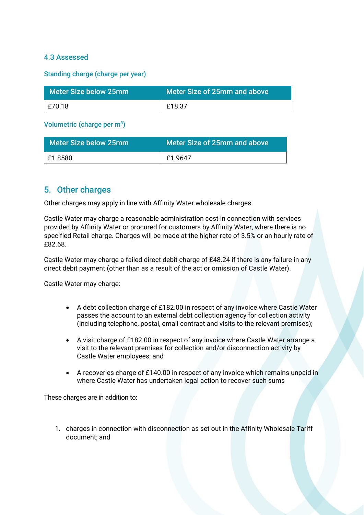### 4.3 Assessed

Standing charge (charge per year)

| Meter Size below 25mm ' | Meter Size of 25mm and above |
|-------------------------|------------------------------|
| £70.18                  | $\pm$ £18.37                 |

Volumetric (charge per  $m^3$ )

| Meter Size below 25mm | Meter Size of 25mm and above |
|-----------------------|------------------------------|
| £1.8580               | £1.9647                      |

### 5. Other charges

Other charges may apply in line with Affinity Water wholesale charges.

Castle Water may charge a reasonable administration cost in connection with services provided by Affinity Water or procured for customers by Affinity Water, where there is no specified Retail charge. Charges will be made at the higher rate of 3.5% or an hourly rate of £82.68.

Castle Water may charge a failed direct debit charge of £48.24 if there is any failure in any direct debit payment (other than as a result of the act or omission of Castle Water).

Castle Water may charge:

- A debt collection charge of £182.00 in respect of any invoice where Castle Water passes the account to an external debt collection agency for collection activity (including telephone, postal, email contract and visits to the relevant premises);
- A visit charge of £182.00 in respect of any invoice where Castle Water arrange a visit to the relevant premises for collection and/or disconnection activity by Castle Water employees; and
- A recoveries charge of £140.00 in respect of any invoice which remains unpaid in where Castle Water has undertaken legal action to recover such sums

These charges are in addition to:

1. charges in connection with disconnection as set out in the Affinity Wholesale Tariff document; and